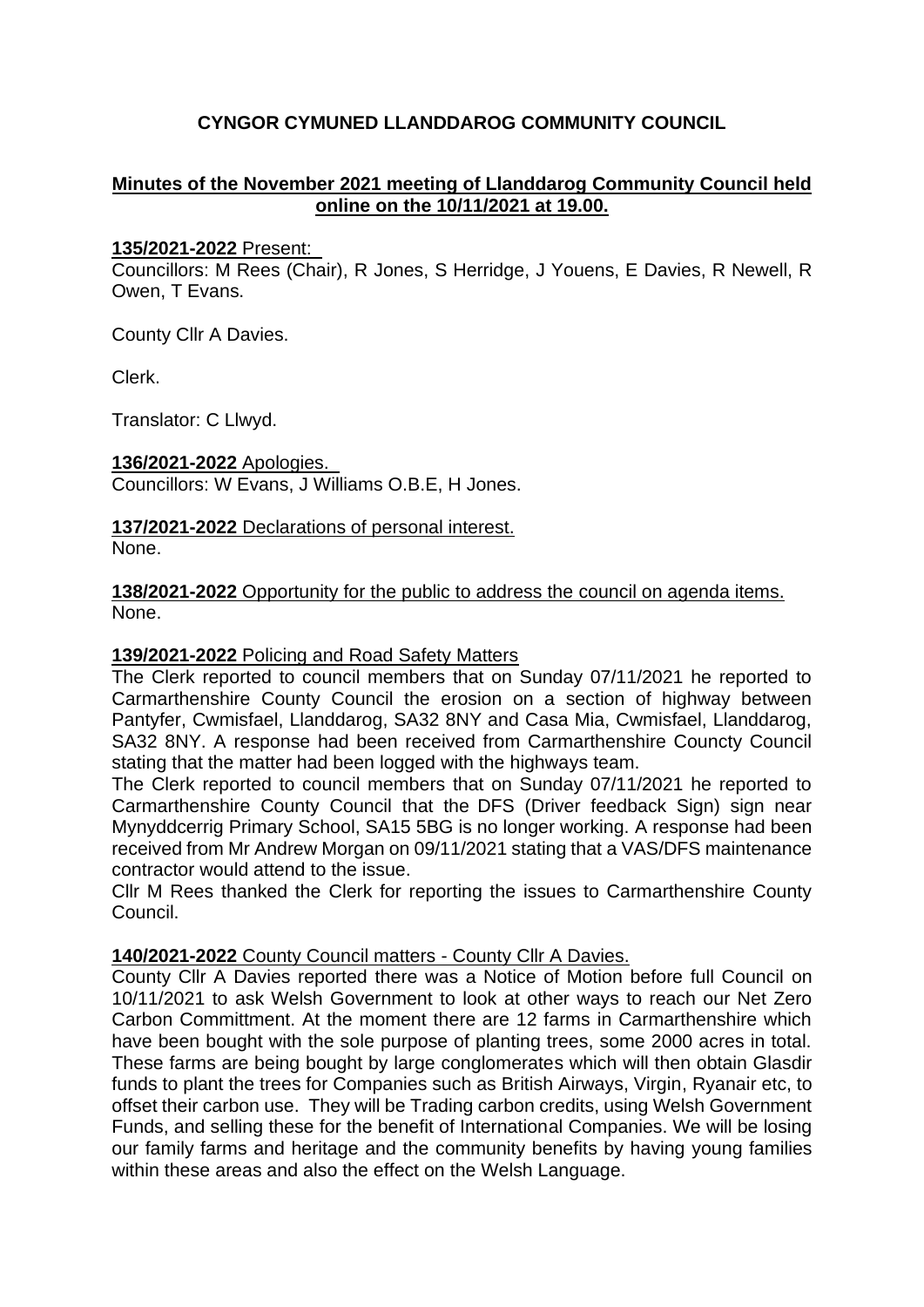# **CYNGOR CYMUNED LLANDDAROG COMMUNITY COUNCIL**

### **Minutes of the November 2021 meeting of Llanddarog Community Council held online on the 10/11/2021 at 19.00.**

#### **135/2021-2022** Present:

Councillors: M Rees (Chair), R Jones, S Herridge, J Youens, E Davies, R Newell, R Owen, T Evans.

County Cllr A Davies.

Clerk.

Translator: C Llwyd.

**136/2021-2022** Apologies. Councillors: W Evans, J Williams O.B.E, H Jones.

**137/2021-2022** Declarations of personal interest. None.

**138/2021-2022** Opportunity for the public to address the council on agenda items. None.

#### **139/2021-2022** Policing and Road Safety Matters

The Clerk reported to council members that on Sunday 07/11/2021 he reported to Carmarthenshire County Council the erosion on a section of highway between Pantyfer, Cwmisfael, Llanddarog, SA32 8NY and Casa Mia, Cwmisfael, Llanddarog, SA32 8NY. A response had been received from Carmarthenshire Councty Council stating that the matter had been logged with the highways team.

The Clerk reported to council members that on Sunday 07/11/2021 he reported to Carmarthenshire County Council that the DFS (Driver feedback Sign) sign near Mynyddcerrig Primary School, SA15 5BG is no longer working. A response had been received from Mr Andrew Morgan on 09/11/2021 stating that a VAS/DFS maintenance contractor would attend to the issue.

Cllr M Rees thanked the Clerk for reporting the issues to Carmarthenshire County Council.

### **140/2021-2022** County Council matters - County Cllr A Davies.

County Cllr A Davies reported there was a Notice of Motion before full Council on 10/11/2021 to ask Welsh Government to look at other ways to reach our Net Zero Carbon Committment. At the moment there are 12 farms in Carmarthenshire which have been bought with the sole purpose of planting trees, some 2000 acres in total. These farms are being bought by large conglomerates which will then obtain Glasdir funds to plant the trees for Companies such as British Airways, Virgin, Ryanair etc, to offset their carbon use. They will be Trading carbon credits, using Welsh Government Funds, and selling these for the benefit of International Companies. We will be losing our family farms and heritage and the community benefits by having young families within these areas and also the effect on the Welsh Language.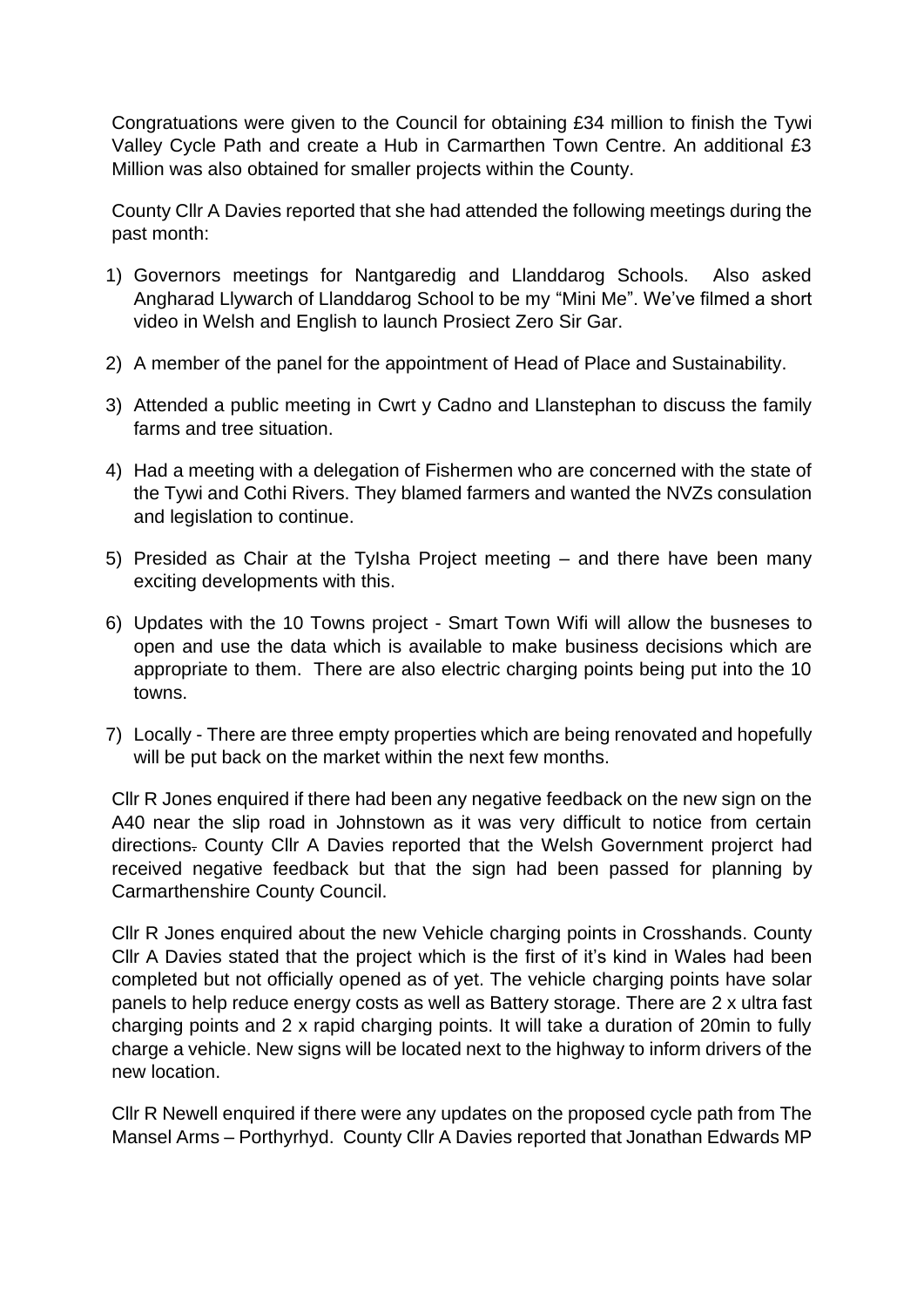Congratuations were given to the Council for obtaining £34 million to finish the Tywi Valley Cycle Path and create a Hub in Carmarthen Town Centre. An additional £3 Million was also obtained for smaller projects within the County.

County Cllr A Davies reported that she had attended the following meetings during the past month:

- 1) Governors meetings for Nantgaredig and Llanddarog Schools. Also asked Angharad Llywarch of Llanddarog School to be my "Mini Me". We've filmed a short video in Welsh and English to launch Prosiect Zero Sir Gar.
- 2) A member of the panel for the appointment of Head of Place and Sustainability.
- 3) Attended a public meeting in Cwrt y Cadno and Llanstephan to discuss the family farms and tree situation.
- 4) Had a meeting with a delegation of Fishermen who are concerned with the state of the Tywi and Cothi Rivers. They blamed farmers and wanted the NVZs consulation and legislation to continue.
- 5) Presided as Chair at the TyIsha Project meeting and there have been many exciting developments with this.
- 6) Updates with the 10 Towns project Smart Town Wifi will allow the busneses to open and use the data which is available to make business decisions which are appropriate to them. There are also electric charging points being put into the 10 towns.
- 7) Locally There are three empty properties which are being renovated and hopefully will be put back on the market within the next few months.

Cllr R Jones enquired if there had been any negative feedback on the new sign on the A40 near the slip road in Johnstown as it was very difficult to notice from certain directions. County Cllr A Davies reported that the Welsh Government projerct had received negative feedback but that the sign had been passed for planning by Carmarthenshire County Council.

Cllr R Jones enquired about the new Vehicle charging points in Crosshands. County Cllr A Davies stated that the project which is the first of it's kind in Wales had been completed but not officially opened as of yet. The vehicle charging points have solar panels to help reduce energy costs as well as Battery storage. There are 2 x ultra fast charging points and 2 x rapid charging points. It will take a duration of 20min to fully charge a vehicle. New signs will be located next to the highway to inform drivers of the new location.

Cllr R Newell enquired if there were any updates on the proposed cycle path from The Mansel Arms – Porthyrhyd. County Cllr A Davies reported that Jonathan Edwards MP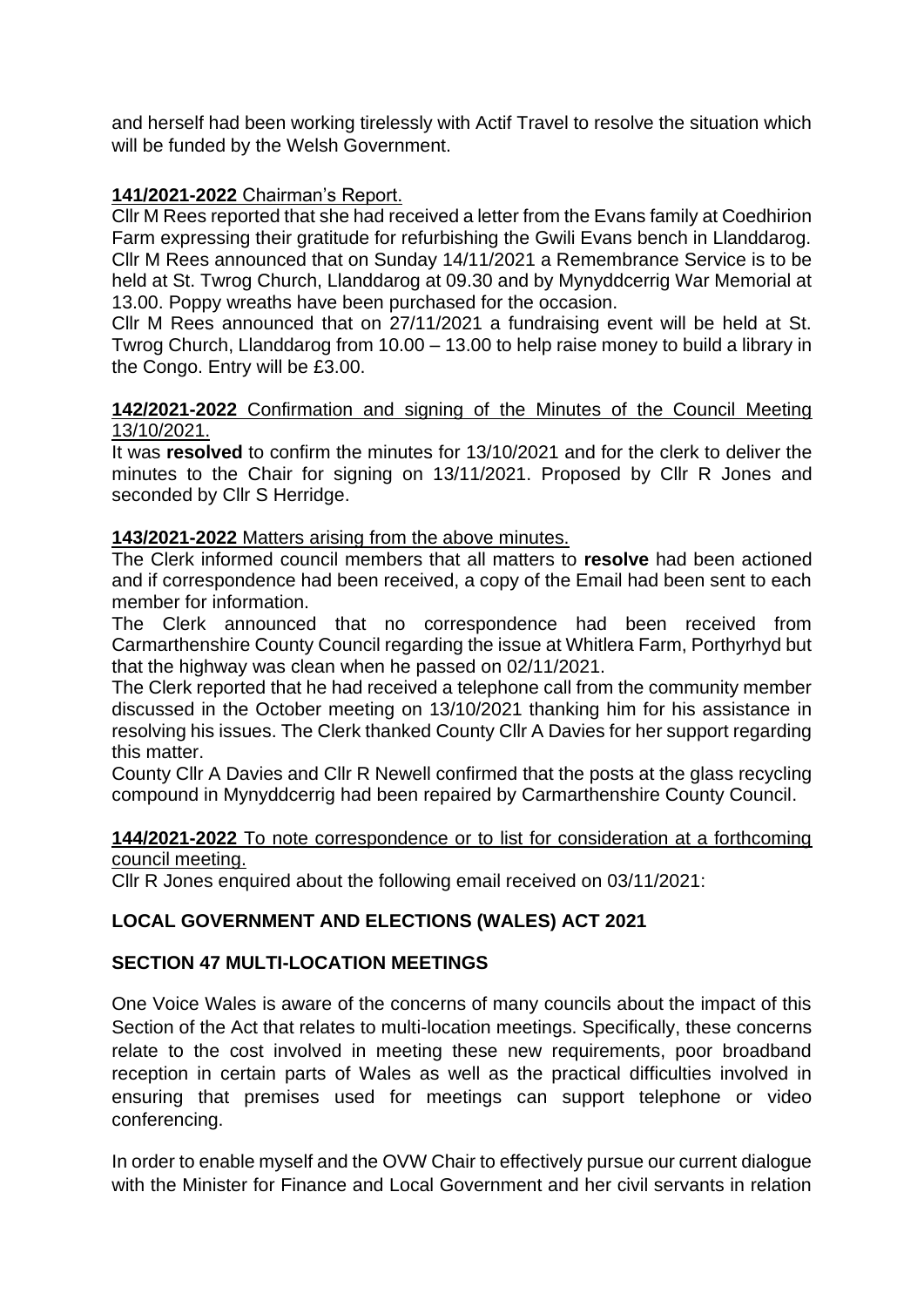and herself had been working tirelessly with Actif Travel to resolve the situation which will be funded by the Welsh Government.

## **141/2021-2022** Chairman's Report.

Cllr M Rees reported that she had received a letter from the Evans family at Coedhirion Farm expressing their gratitude for refurbishing the Gwili Evans bench in Llanddarog. Cllr M Rees announced that on Sunday 14/11/2021 a Remembrance Service is to be held at St. Twrog Church, Llanddarog at 09.30 and by Mynyddcerrig War Memorial at 13.00. Poppy wreaths have been purchased for the occasion.

Cllr M Rees announced that on 27/11/2021 a fundraising event will be held at St. Twrog Church, Llanddarog from 10.00 – 13.00 to help raise money to build a library in the Congo. Entry will be £3.00.

### **142/2021-2022** Confirmation and signing of the Minutes of the Council Meeting 13/10/2021.

It was **resolved** to confirm the minutes for 13/10/2021 and for the clerk to deliver the minutes to the Chair for signing on 13/11/2021. Proposed by Cllr R Jones and seconded by Cllr S Herridge.

### **143/2021-2022** Matters arising from the above minutes.

The Clerk informed council members that all matters to **resolve** had been actioned and if correspondence had been received, a copy of the Email had been sent to each member for information.

The Clerk announced that no correspondence had been received from Carmarthenshire County Council regarding the issue at Whitlera Farm, Porthyrhyd but that the highway was clean when he passed on 02/11/2021.

The Clerk reported that he had received a telephone call from the community member discussed in the October meeting on 13/10/2021 thanking him for his assistance in resolving his issues. The Clerk thanked County Cllr A Davies for her support regarding this matter.

County Cllr A Davies and Cllr R Newell confirmed that the posts at the glass recycling compound in Mynyddcerrig had been repaired by Carmarthenshire County Council.

### **144/2021-2022** To note correspondence or to list for consideration at a forthcoming council meeting.

Cllr R Jones enquired about the following email received on 03/11/2021:

## **LOCAL GOVERNMENT AND ELECTIONS (WALES) ACT 2021**

## **SECTION 47 MULTI-LOCATION MEETINGS**

One Voice Wales is aware of the concerns of many councils about the impact of this Section of the Act that relates to multi-location meetings. Specifically, these concerns relate to the cost involved in meeting these new requirements, poor broadband reception in certain parts of Wales as well as the practical difficulties involved in ensuring that premises used for meetings can support telephone or video conferencing.

In order to enable myself and the OVW Chair to effectively pursue our current dialogue with the Minister for Finance and Local Government and her civil servants in relation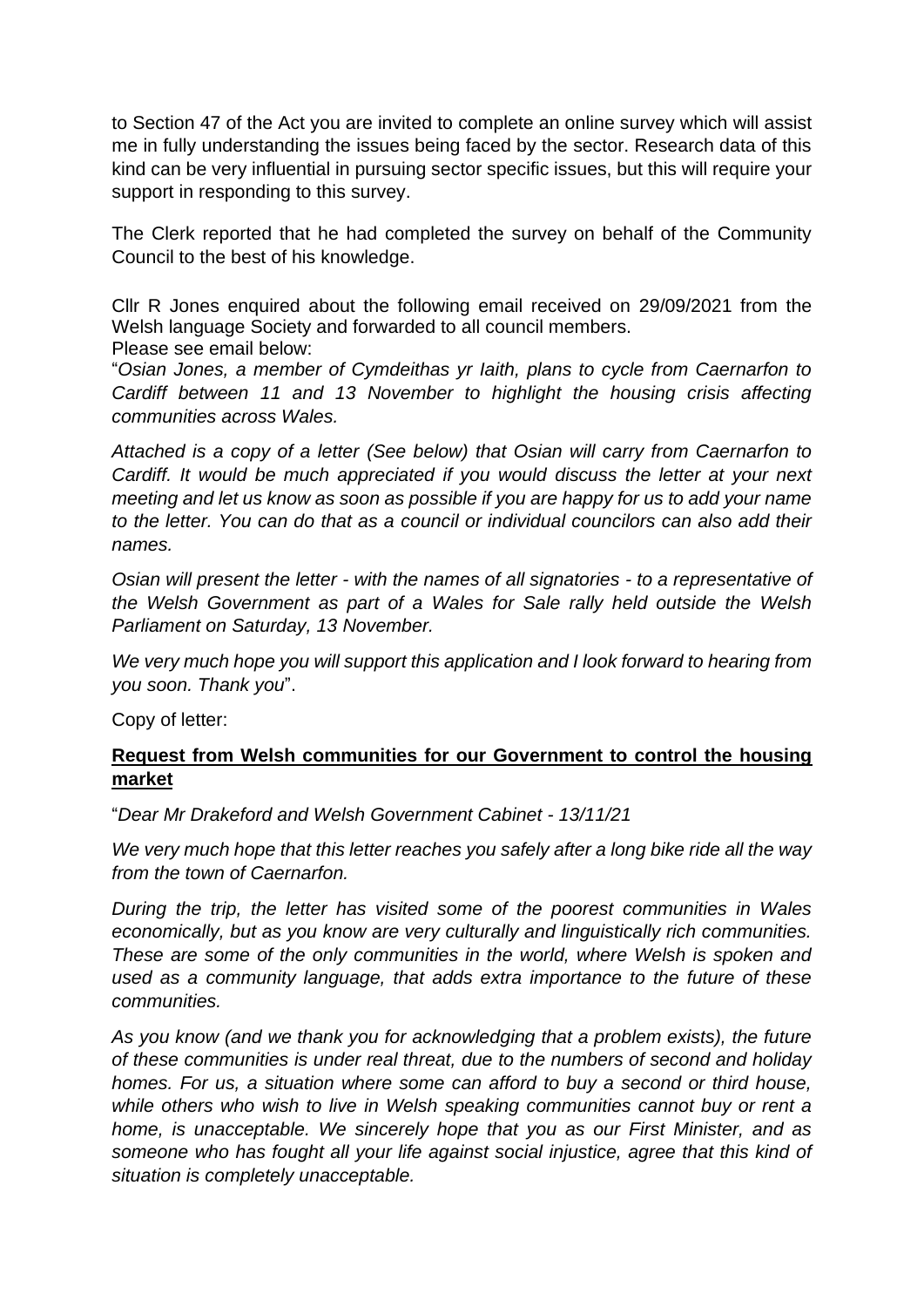to Section 47 of the Act you are invited to complete an online survey which will assist me in fully understanding the issues being faced by the sector. Research data of this kind can be very influential in pursuing sector specific issues, but this will require your support in responding to this survey.

The Clerk reported that he had completed the survey on behalf of the Community Council to the best of his knowledge.

Cllr R Jones enquired about the following email received on 29/09/2021 from the Welsh language Society and forwarded to all council members. Please see email below:

"*Osian Jones, a member of Cymdeithas yr Iaith, plans to cycle from Caernarfon to Cardiff between 11 and 13 November to highlight the housing crisis affecting communities across Wales.*

*Attached is a copy of a letter (See below) that Osian will carry from Caernarfon to Cardiff. It would be much appreciated if you would discuss the letter at your next meeting and let us know as soon as possible if you are happy for us to add your name to the letter. You can do that as a council or individual councilors can also add their names.*

*Osian will present the letter - with the names of all signatories - to a representative of the Welsh Government as part of a Wales for Sale rally held outside the Welsh Parliament on Saturday, 13 November.*

*We very much hope you will support this application and I look forward to hearing from you soon. Thank you*".

Copy of letter:

### **Request from Welsh communities for our Government to control the housing market**

"*Dear Mr Drakeford and Welsh Government Cabinet - 13/11/21*

*We very much hope that this letter reaches you safely after a long bike ride all the way from the town of Caernarfon.*

*During the trip, the letter has visited some of the poorest communities in Wales economically, but as you know are very culturally and linguistically rich communities. These are some of the only communities in the world, where Welsh is spoken and used as a community language, that adds extra importance to the future of these communities.*

*As you know (and we thank you for acknowledging that a problem exists), the future of these communities is under real threat, due to the numbers of second and holiday homes. For us, a situation where some can afford to buy a second or third house,*  while others who wish to live in Welsh speaking communities cannot buy or rent a *home, is unacceptable. We sincerely hope that you as our First Minister, and as someone who has fought all your life against social injustice, agree that this kind of situation is completely unacceptable.*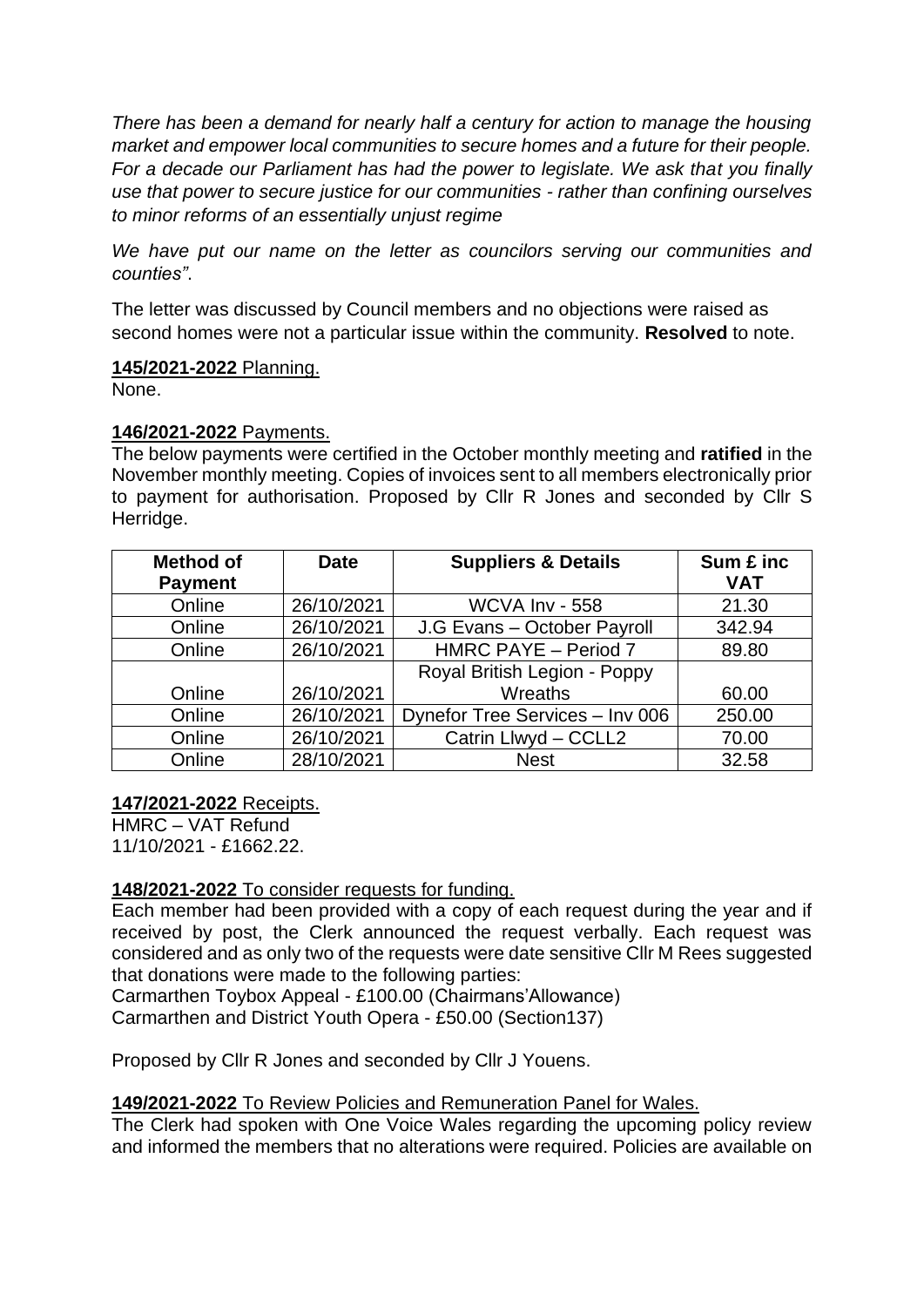*There has been a demand for nearly half a century for action to manage the housing market and empower local communities to secure homes and a future for their people. For a decade our Parliament has had the power to legislate. We ask that you finally use that power to secure justice for our communities - rather than confining ourselves to minor reforms of an essentially unjust regime*

*We have put our name on the letter as councilors serving our communities and counties"*.

The letter was discussed by Council members and no objections were raised as second homes were not a particular issue within the community. **Resolved** to note.

### **145/2021-2022** Planning.

None.

## **146/2021-2022** Payments.

The below payments were certified in the October monthly meeting and **ratified** in the November monthly meeting. Copies of invoices sent to all members electronically prior to payment for authorisation. Proposed by Cllr R Jones and seconded by Cllr S Herridge.

| <b>Method of</b><br><b>Payment</b> | <b>Date</b> | <b>Suppliers &amp; Details</b>  | Sum £ inc<br><b>VAT</b> |
|------------------------------------|-------------|---------------------------------|-------------------------|
| Online                             | 26/10/2021  | <b>WCVA Inv - 558</b>           | 21.30                   |
| Online                             | 26/10/2021  | J.G Evans - October Payroll     | 342.94                  |
| Online                             | 26/10/2021  | HMRC PAYE - Period 7            | 89.80                   |
|                                    |             | Royal British Legion - Poppy    |                         |
| Online                             | 26/10/2021  | Wreaths                         | 60.00                   |
| Online                             | 26/10/2021  | Dynefor Tree Services - Inv 006 | 250.00                  |
| Online                             | 26/10/2021  | Catrin Llwyd - CCLL2            | 70.00                   |
| Online                             | 28/10/2021  | <b>Nest</b>                     | 32.58                   |

### **147/2021-2022** Receipts.

HMRC – VAT Refund 11/10/2021 - £1662.22.

## **148/2021-2022** To consider requests for funding.

Each member had been provided with a copy of each request during the year and if received by post, the Clerk announced the request verbally. Each request was considered and as only two of the requests were date sensitive Cllr M Rees suggested that donations were made to the following parties:

Carmarthen Toybox Appeal - £100.00 (Chairmans'Allowance) Carmarthen and District Youth Opera - £50.00 (Section137)

Proposed by Cllr R Jones and seconded by Cllr J Youens.

## **149/2021-2022** To Review Policies and Remuneration Panel for Wales.

The Clerk had spoken with One Voice Wales regarding the upcoming policy review and informed the members that no alterations were required. Policies are available on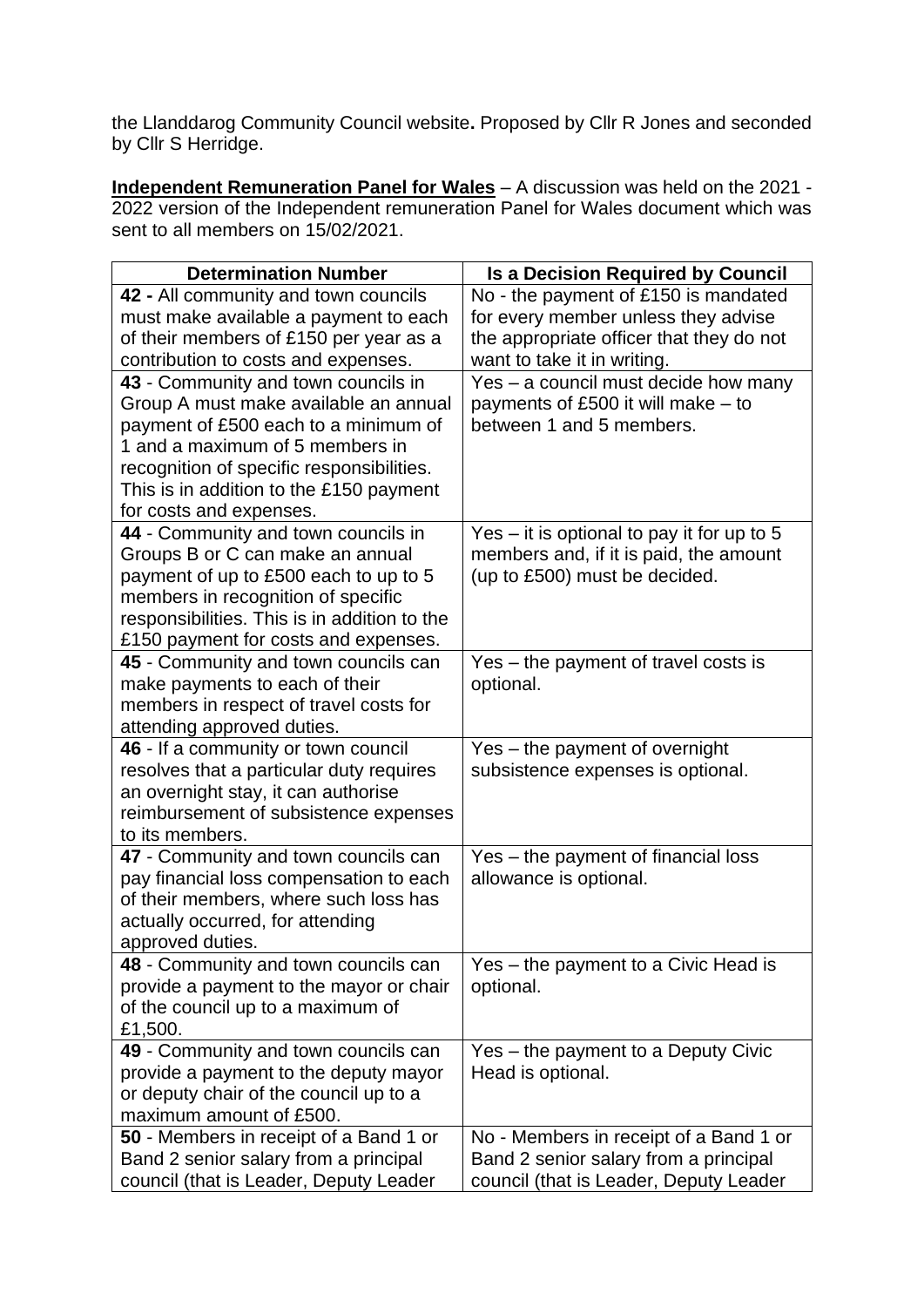the Llanddarog Community Council website**.** Proposed by Cllr R Jones and seconded by Cllr S Herridge.

**Independent Remuneration Panel for Wales** – A discussion was held on the 2021 - 2022 version of the Independent remuneration Panel for Wales document which was sent to all members on 15/02/2021.

| <b>Determination Number</b>                                                                                                                                                                                                                                                | <b>Is a Decision Required by Council</b>                                                                                  |  |
|----------------------------------------------------------------------------------------------------------------------------------------------------------------------------------------------------------------------------------------------------------------------------|---------------------------------------------------------------------------------------------------------------------------|--|
| 42 - All community and town councils                                                                                                                                                                                                                                       | No - the payment of £150 is mandated                                                                                      |  |
| must make available a payment to each                                                                                                                                                                                                                                      | for every member unless they advise                                                                                       |  |
| of their members of £150 per year as a                                                                                                                                                                                                                                     | the appropriate officer that they do not                                                                                  |  |
| contribution to costs and expenses.                                                                                                                                                                                                                                        | want to take it in writing.                                                                                               |  |
| 43 - Community and town councils in<br>Group A must make available an annual<br>payment of £500 each to a minimum of<br>1 and a maximum of 5 members in<br>recognition of specific responsibilities.<br>This is in addition to the £150 payment<br>for costs and expenses. | Yes – a council must decide how many<br>payments of £500 it will make $-$ to<br>between 1 and 5 members.                  |  |
| 44 - Community and town councils in<br>Groups B or C can make an annual<br>payment of up to £500 each to up to 5<br>members in recognition of specific<br>responsibilities. This is in addition to the<br>£150 payment for costs and expenses.                             | Yes $-$ it is optional to pay it for up to 5<br>members and, if it is paid, the amount<br>(up to £500) must be decided.   |  |
| 45 - Community and town councils can<br>make payments to each of their<br>members in respect of travel costs for<br>attending approved duties.                                                                                                                             | Yes – the payment of travel costs is<br>optional.                                                                         |  |
| 46 - If a community or town council<br>resolves that a particular duty requires<br>an overnight stay, it can authorise<br>reimbursement of subsistence expenses<br>to its members.                                                                                         | Yes – the payment of overnight<br>subsistence expenses is optional.                                                       |  |
| 47 - Community and town councils can<br>pay financial loss compensation to each<br>of their members, where such loss has<br>actually occurred, for attending<br>approved duties.                                                                                           | Yes - the payment of financial loss<br>allowance is optional.                                                             |  |
| 48 - Community and town councils can<br>provide a payment to the mayor or chair<br>of the council up to a maximum of<br>£1,500.                                                                                                                                            | Yes - the payment to a Civic Head is<br>optional.                                                                         |  |
| 49 - Community and town councils can<br>provide a payment to the deputy mayor<br>or deputy chair of the council up to a<br>maximum amount of £500.                                                                                                                         | Yes - the payment to a Deputy Civic<br>Head is optional.                                                                  |  |
| 50 - Members in receipt of a Band 1 or<br>Band 2 senior salary from a principal<br>council (that is Leader, Deputy Leader                                                                                                                                                  | No - Members in receipt of a Band 1 or<br>Band 2 senior salary from a principal<br>council (that is Leader, Deputy Leader |  |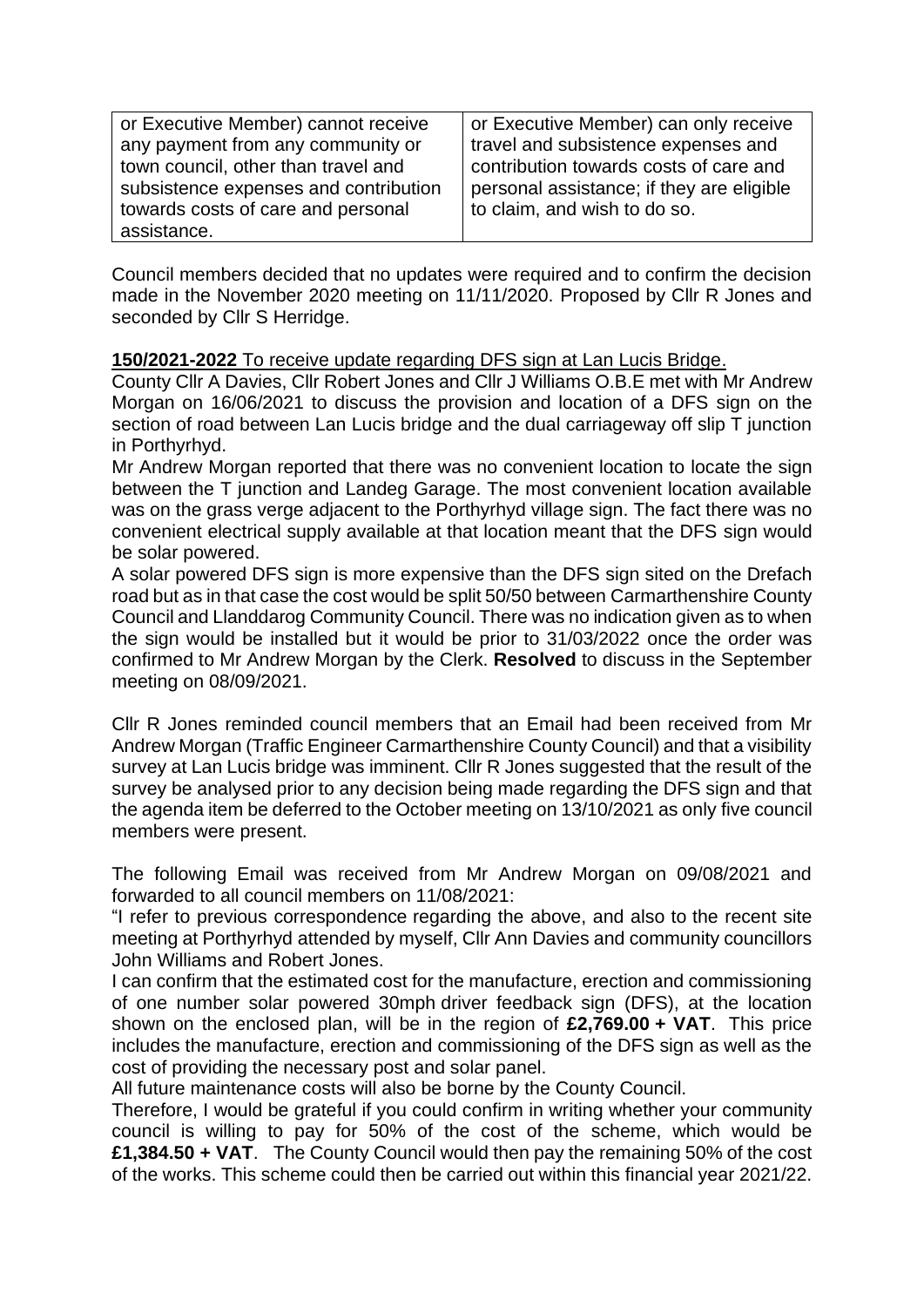| or Executive Member) cannot receive   | or Executive Member) can only receive     |
|---------------------------------------|-------------------------------------------|
| any payment from any community or     | travel and subsistence expenses and       |
| town council, other than travel and   | contribution towards costs of care and    |
| subsistence expenses and contribution | personal assistance; if they are eligible |
| towards costs of care and personal    | to claim, and wish to do so.              |
| assistance.                           |                                           |

Council members decided that no updates were required and to confirm the decision made in the November 2020 meeting on 11/11/2020. Proposed by Cllr R Jones and seconded by Cllr S Herridge.

### **150/2021-2022** To receive update regarding DFS sign at Lan Lucis Bridge.

County Cllr A Davies, Cllr Robert Jones and Cllr J Williams O.B.E met with Mr Andrew Morgan on 16/06/2021 to discuss the provision and location of a DFS sign on the section of road between Lan Lucis bridge and the dual carriageway off slip T junction in Porthyrhyd.

Mr Andrew Morgan reported that there was no convenient location to locate the sign between the T junction and Landeg Garage. The most convenient location available was on the grass verge adjacent to the Porthyrhyd village sign. The fact there was no convenient electrical supply available at that location meant that the DFS sign would be solar powered.

A solar powered DFS sign is more expensive than the DFS sign sited on the Drefach road but as in that case the cost would be split 50/50 between Carmarthenshire County Council and Llanddarog Community Council. There was no indication given as to when the sign would be installed but it would be prior to 31/03/2022 once the order was confirmed to Mr Andrew Morgan by the Clerk. **Resolved** to discuss in the September meeting on 08/09/2021.

Cllr R Jones reminded council members that an Email had been received from Mr Andrew Morgan (Traffic Engineer Carmarthenshire County Council) and that a visibility survey at Lan Lucis bridge was imminent. Cllr R Jones suggested that the result of the survey be analysed prior to any decision being made regarding the DFS sign and that the agenda item be deferred to the October meeting on 13/10/2021 as only five council members were present.

The following Email was received from Mr Andrew Morgan on 09/08/2021 and forwarded to all council members on 11/08/2021:

"I refer to previous correspondence regarding the above, and also to the recent site meeting at Porthyrhyd attended by myself, Cllr Ann Davies and community councillors John Williams and Robert Jones.

I can confirm that the estimated cost for the manufacture, erection and commissioning of one number solar powered 30mph driver feedback sign (DFS), at the location shown on the enclosed plan, will be in the region of **£2,769.00 + VAT**. This price includes the manufacture, erection and commissioning of the DFS sign as well as the cost of providing the necessary post and solar panel.

All future maintenance costs will also be borne by the County Council.

Therefore, I would be grateful if you could confirm in writing whether your community council is willing to pay for 50% of the cost of the scheme, which would be **£1,384.50 + VAT**. The County Council would then pay the remaining 50% of the cost of the works. This scheme could then be carried out within this financial year 2021/22.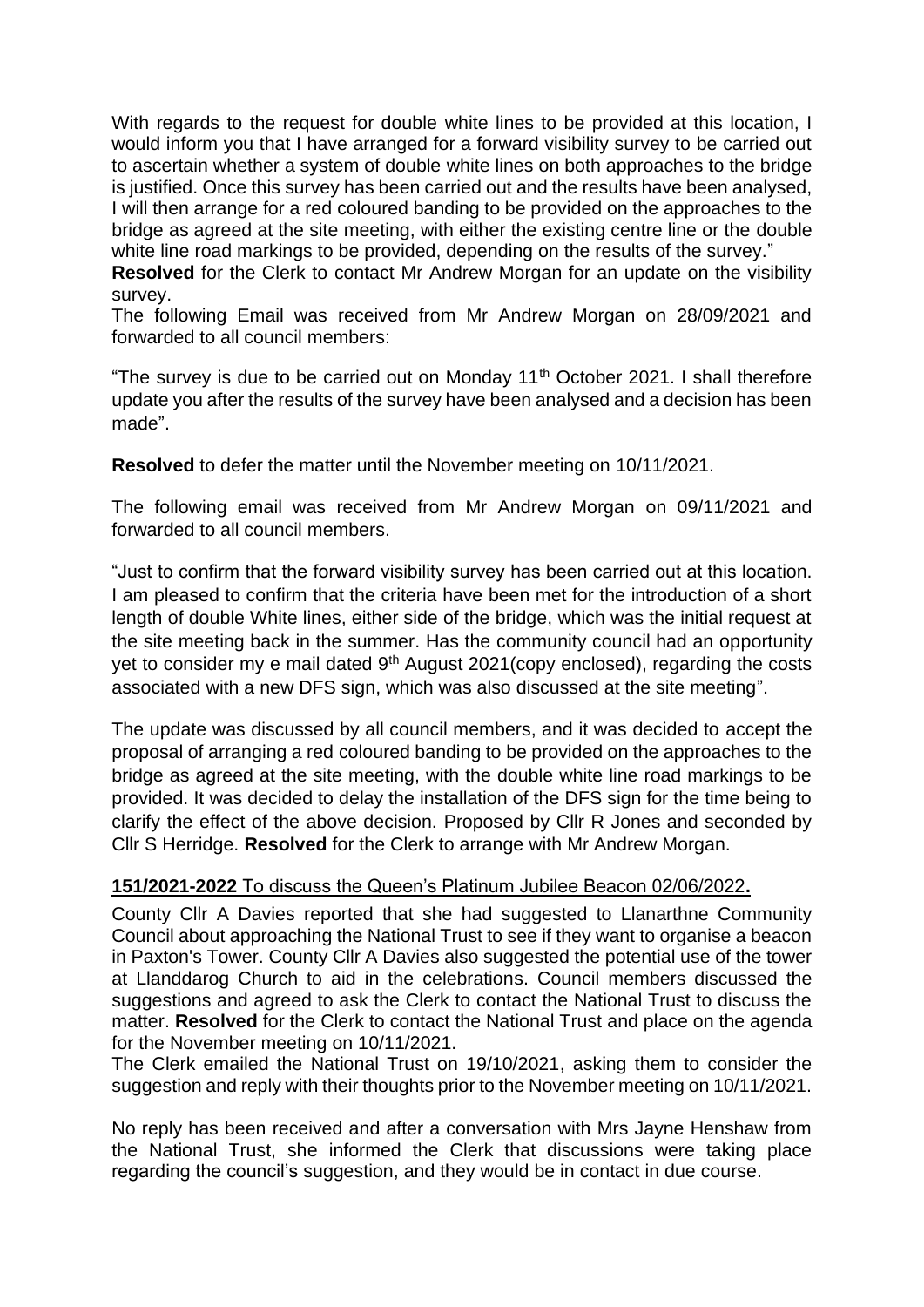With regards to the request for double white lines to be provided at this location, I would inform you that I have arranged for a forward visibility survey to be carried out to ascertain whether a system of double white lines on both approaches to the bridge is justified. Once this survey has been carried out and the results have been analysed, I will then arrange for a red coloured banding to be provided on the approaches to the bridge as agreed at the site meeting, with either the existing centre line or the double white line road markings to be provided, depending on the results of the survey."

**Resolved** for the Clerk to contact Mr Andrew Morgan for an update on the visibility survey.

The following Email was received from Mr Andrew Morgan on 28/09/2021 and forwarded to all council members:

"The survey is due to be carried out on Monday  $11<sup>th</sup>$  October 2021. I shall therefore update you after the results of the survey have been analysed and a decision has been made".

**Resolved** to defer the matter until the November meeting on 10/11/2021.

The following email was received from Mr Andrew Morgan on 09/11/2021 and forwarded to all council members.

"Just to confirm that the forward visibility survey has been carried out at this location. I am pleased to confirm that the criteria have been met for the introduction of a short length of double White lines, either side of the bridge, which was the initial request at the site meeting back in the summer. Has the community council had an opportunity yet to consider my e mail dated 9<sup>th</sup> August 2021(copy enclosed), regarding the costs associated with a new DFS sign, which was also discussed at the site meeting".

The update was discussed by all council members, and it was decided to accept the proposal of arranging a red coloured banding to be provided on the approaches to the bridge as agreed at the site meeting, with the double white line road markings to be provided. It was decided to delay the installation of the DFS sign for the time being to clarify the effect of the above decision. Proposed by Cllr R Jones and seconded by Cllr S Herridge. **Resolved** for the Clerk to arrange with Mr Andrew Morgan.

## **151/2021-2022** To discuss the Queen's Platinum Jubilee Beacon 02/06/2022**.**

County Cllr A Davies reported that she had suggested to Llanarthne Community Council about approaching the National Trust to see if they want to organise a beacon in Paxton's Tower. County Cllr A Davies also suggested the potential use of the tower at Llanddarog Church to aid in the celebrations. Council members discussed the suggestions and agreed to ask the Clerk to contact the National Trust to discuss the matter. **Resolved** for the Clerk to contact the National Trust and place on the agenda for the November meeting on 10/11/2021.

The Clerk emailed the National Trust on 19/10/2021, asking them to consider the suggestion and reply with their thoughts prior to the November meeting on 10/11/2021.

No reply has been received and after a conversation with Mrs Jayne Henshaw from the National Trust, she informed the Clerk that discussions were taking place regarding the council's suggestion, and they would be in contact in due course.